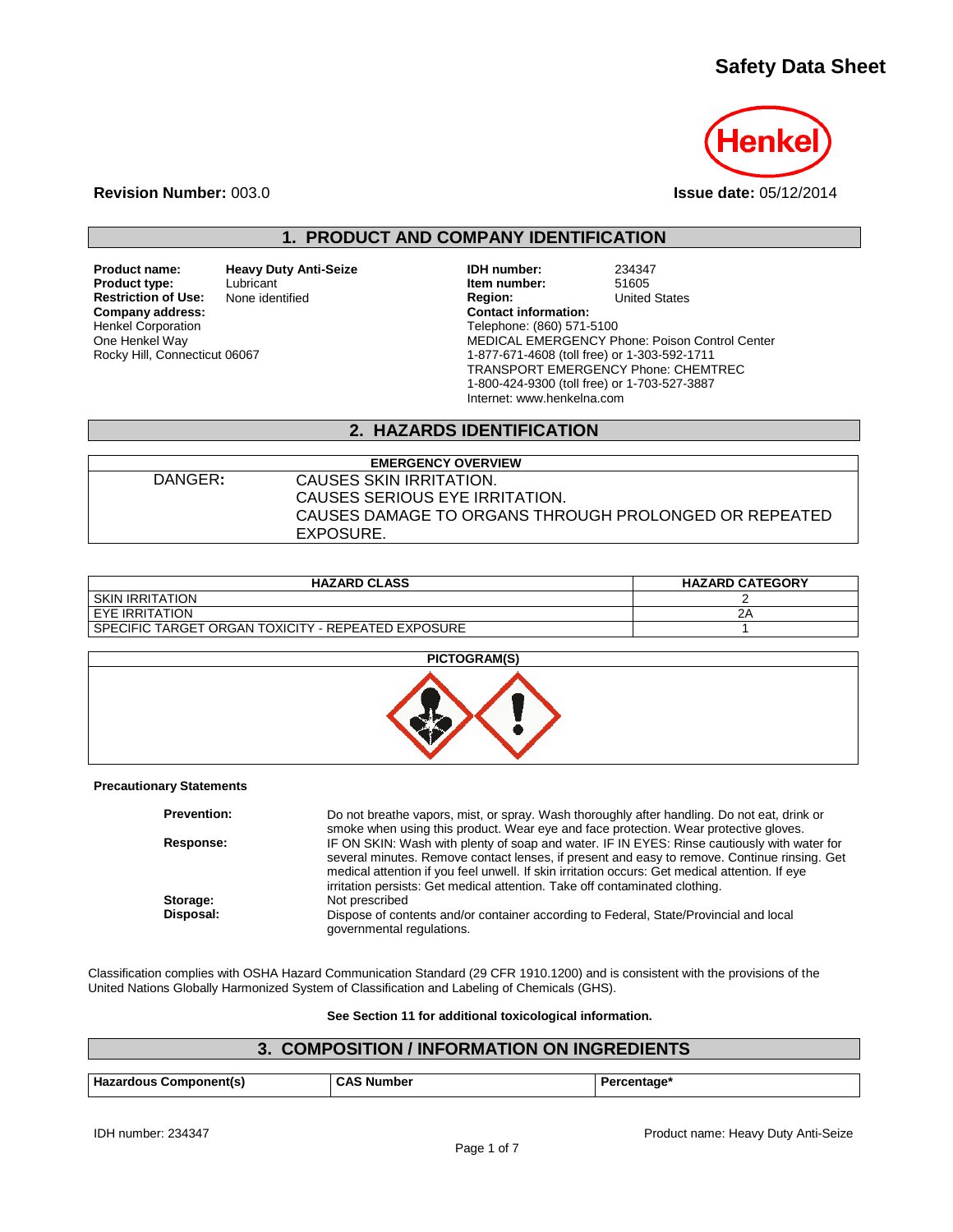# **Safety Data Sheet**



**Revision Number:** 003.0 **Issue date:** 05/12/2014

## **1. PRODUCT AND COMPANY IDENTIFICATION**

**Product name: and Heavy Duty Anti-Seize CONSTANDIERY 1DH number:** 234347<br> **Product type:** Lubricant **Luberiery Luberiery Litem number:** 51605 **Restriction of Use:**<br>Company address: Henkel Corporation One Henkel Way Rocky Hill, Connecticut 06067

Lubricant **Item number:** 51605<br>
None identified **Interventional States**<br> **Product Contract Contract Contract Contract Contract Contract Contract Contract Contract Contract Contract Contract Contract Contract Contract Contr Company address: Contact information:** Telephone: (860) 571-5100 MEDICAL EMERGENCY Phone: Poison Control Center 1-877-671-4608 (toll free) or 1-303-592-1711 TRANSPORT EMERGENCY Phone: CHEMTREC 1-800-424-9300 (toll free) or 1-703-527-3887 Internet: www.henkelna.com

## **2. HAZARDS IDENTIFICATION**

| <b>EMERGENCY OVERVIEW</b> |                                                       |  |
|---------------------------|-------------------------------------------------------|--|
| DANGER:                   | CAUSES SKIN IRRITATION.                               |  |
|                           | CAUSES SERIOUS EYE IRRITATION.                        |  |
|                           | CAUSES DAMAGE TO ORGANS THROUGH PROLONGED OR REPEATED |  |
|                           | EXPOSURE.                                             |  |

| <b>HAZARD CLASS</b>                                  | <b>HAZARD CATEGORY</b> |
|------------------------------------------------------|------------------------|
| I SKIN IRRITATION                                    |                        |
| I EYE IRRITATION                                     |                        |
| l SPECIFIC TARGET ORGAN TOXICITY - REPEATED EXPOSURE |                        |



#### **Precautionary Statements**

| <b>Prevention:</b> | Do not breathe vapors, mist, or spray. Wash thoroughly after handling. Do not eat, drink or<br>smoke when using this product. Wear eye and face protection. Wear protective gloves.                                                                                                                                                                                          |
|--------------------|------------------------------------------------------------------------------------------------------------------------------------------------------------------------------------------------------------------------------------------------------------------------------------------------------------------------------------------------------------------------------|
| Response:          | IF ON SKIN: Wash with plenty of soap and water. IF IN EYES: Rinse cautiously with water for<br>several minutes. Remove contact lenses, if present and easy to remove. Continue rinsing. Get<br>medical attention if you feel unwell. If skin irritation occurs: Get medical attention. If eye<br>irritation persists: Get medical attention. Take off contaminated clothing. |
| Storage:           | Not prescribed                                                                                                                                                                                                                                                                                                                                                               |
| Disposal:          | Dispose of contents and/or container according to Federal, State/Provincial and local<br>governmental regulations.                                                                                                                                                                                                                                                           |

Classification complies with OSHA Hazard Communication Standard (29 CFR 1910.1200) and is consistent with the provisions of the United Nations Globally Harmonized System of Classification and Labeling of Chemicals (GHS).

#### **See Section 11 for additional toxicological information.**

## **3. COMPOSITION / INFORMATION ON INGREDIENTS**

| Haz<br>๊* Component(ระ<br>izardous | $\cdot$ . $\Delta$<br>. Numbe <sup>.</sup> | :entaαe |
|------------------------------------|--------------------------------------------|---------|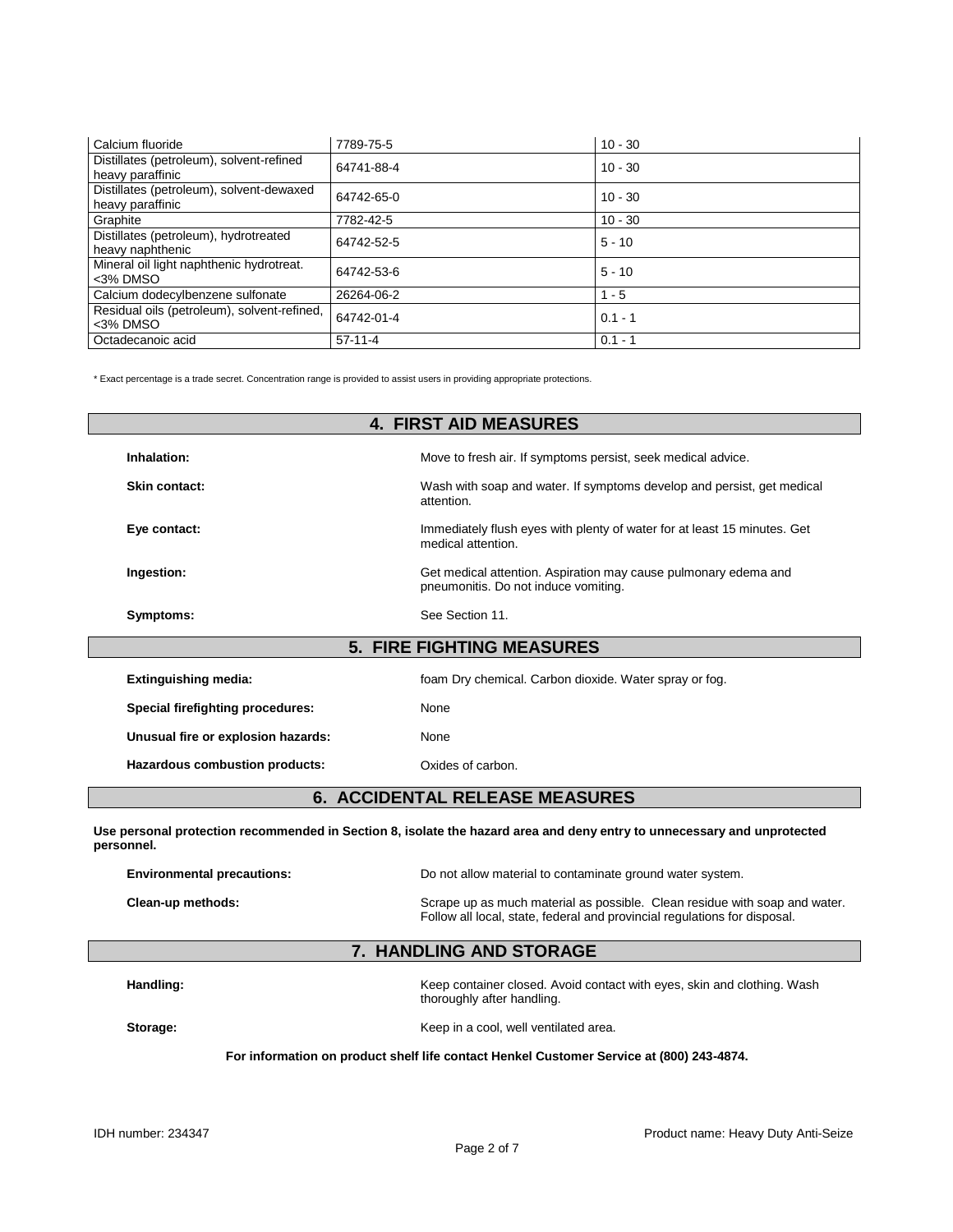| Calcium fluoride                                             | 7789-75-5  | $10 - 30$ |
|--------------------------------------------------------------|------------|-----------|
| Distillates (petroleum), solvent-refined<br>heavy paraffinic | 64741-88-4 | $10 - 30$ |
| Distillates (petroleum), solvent-dewaxed<br>heavy paraffinic | 64742-65-0 | $10 - 30$ |
| Graphite                                                     | 7782-42-5  | $10 - 30$ |
| Distillates (petroleum), hydrotreated<br>heavy naphthenic    | 64742-52-5 | $5 - 10$  |
| Mineral oil light naphthenic hydrotreat.<br><3% DMSO         | 64742-53-6 | $5 - 10$  |
| Calcium dodecylbenzene sulfonate                             | 26264-06-2 | $1 - 5$   |
| Residual oils (petroleum), solvent-refined,<br><3% DMSO      | 64742-01-4 | $0.1 - 1$ |
| Octadecanoic acid                                            | $57-11-4$  | $0.1 - 1$ |

\* Exact percentage is a trade secret. Concentration range is provided to assist users in providing appropriate protections.

| <b>4. FIRST AID MEASURES</b>       |                                                                                                         |  |
|------------------------------------|---------------------------------------------------------------------------------------------------------|--|
| Inhalation:                        | Move to fresh air. If symptoms persist, seek medical advice.                                            |  |
| Skin contact:                      | Wash with soap and water. If symptoms develop and persist, get medical<br>attention.                    |  |
| Eye contact:                       | Immediately flush eyes with plenty of water for at least 15 minutes. Get<br>medical attention.          |  |
| Ingestion:                         | Get medical attention. Aspiration may cause pulmonary edema and<br>pneumonitis. Do not induce vomiting. |  |
| Symptoms:                          | See Section 11.                                                                                         |  |
|                                    | <b>5. FIRE FIGHTING MEASURES</b>                                                                        |  |
| <b>Extinguishing media:</b>        | foam Dry chemical. Carbon dioxide. Water spray or fog.                                                  |  |
| Special firefighting procedures:   | None                                                                                                    |  |
| Unusual fire or explosion hazards: | None                                                                                                    |  |
| Hazardous combustion products:     | Oxides of carbon.                                                                                       |  |

## **6. ACCIDENTAL RELEASE MEASURES**

**Use personal protection recommended in Section 8, isolate the hazard area and deny entry to unnecessary and unprotected personnel.**

| <b>Environmental precautions:</b> | Do not allow material to contaminate ground water system.                                                                                               |  |
|-----------------------------------|---------------------------------------------------------------------------------------------------------------------------------------------------------|--|
| Clean-up methods:                 | Scrape up as much material as possible. Clean residue with soap and water.<br>Follow all local, state, federal and provincial regulations for disposal. |  |

## **7. HANDLING AND STORAGE**

Handling: **Handling:** Keep container closed. Avoid contact with eyes, skin and clothing. Wash thoroughly after handling.

**Storage:** Storage: Storage:  $\frac{1}{2}$  Keep in a cool, well ventilated area.

#### **For information on product shelf life contact Henkel Customer Service at (800) 243-4874.**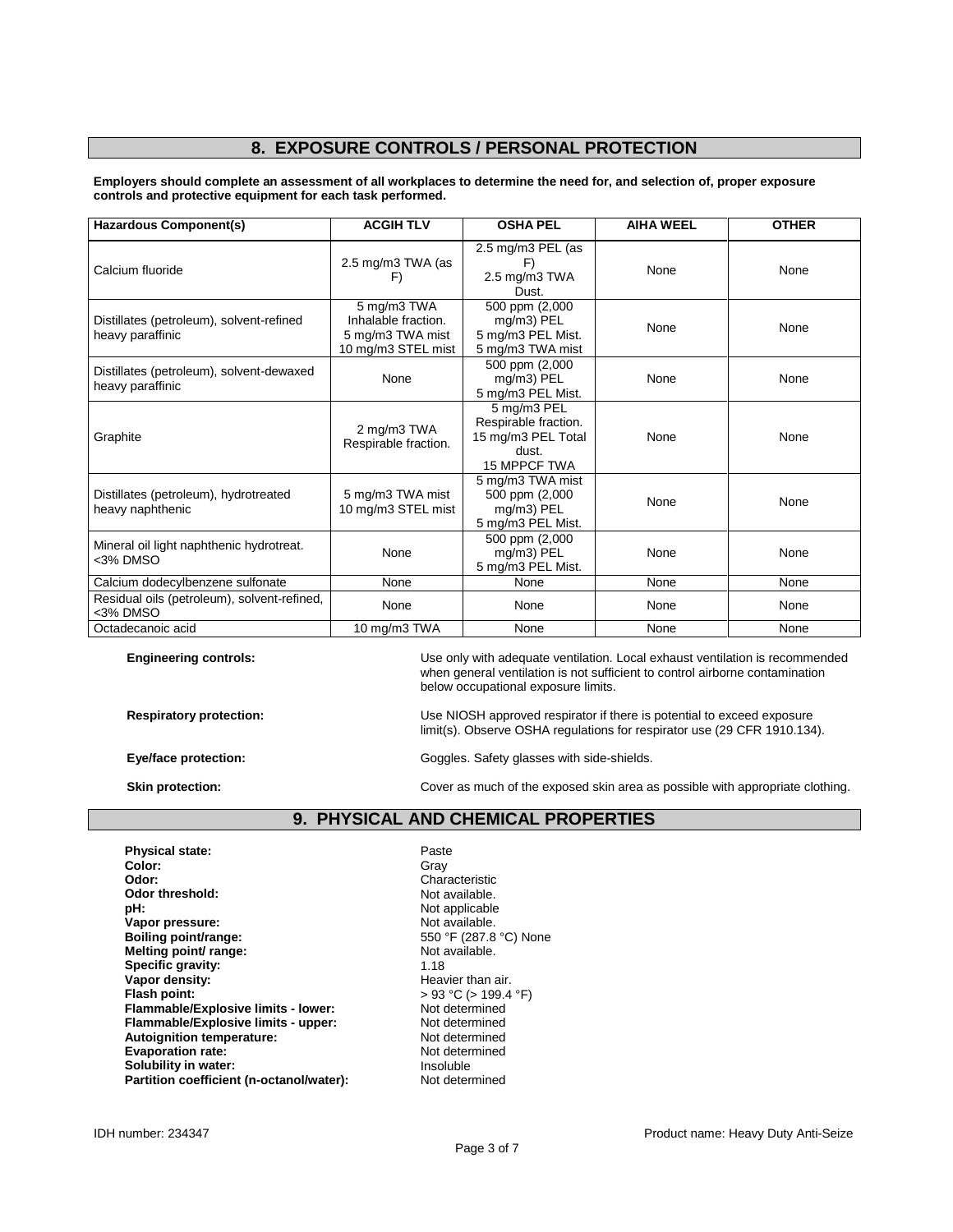## **8. EXPOSURE CONTROLS / PERSONAL PROTECTION**

**Employers should complete an assessment of all workplaces to determine the need for, and selection of, proper exposure controls and protective equipment for each task performed.**

| <b>Hazardous Component(s)</b>                                | <b>ACGIH TLV</b>                                                             | <b>OSHA PEL</b>                                                                           | <b>AIHA WEEL</b> | <b>OTHER</b> |
|--------------------------------------------------------------|------------------------------------------------------------------------------|-------------------------------------------------------------------------------------------|------------------|--------------|
| Calcium fluoride                                             | 2.5 mg/m3 TWA (as<br>F)                                                      | 2.5 mg/m3 PEL (as<br>F)<br>2.5 mg/m3 TWA<br>Dust.                                         | None             | None         |
| Distillates (petroleum), solvent-refined<br>heavy paraffinic | 5 mg/m3 TWA<br>Inhalable fraction.<br>5 mg/m3 TWA mist<br>10 mg/m3 STEL mist | 500 ppm (2,000<br>mg/m3) PEL<br>5 mg/m3 PEL Mist.<br>5 mg/m3 TWA mist                     | None             | None         |
| Distillates (petroleum), solvent-dewaxed<br>heavy paraffinic | None                                                                         | 500 ppm (2,000<br>mg/m3) PEL<br>5 mg/m3 PEL Mist.                                         | None             | None         |
| Graphite                                                     | 2 mg/m3 TWA<br>Respirable fraction.                                          | 5 mg/m3 PEL<br>Respirable fraction.<br>15 mg/m3 PEL Total<br>dust.<br><b>15 MPPCF TWA</b> | None             | None         |
| Distillates (petroleum), hydrotreated<br>heavy naphthenic    | 5 mg/m3 TWA mist<br>10 mg/m3 STEL mist                                       | 5 mg/m3 TWA mist<br>500 ppm (2,000<br>mg/m3) PEL<br>5 mg/m3 PEL Mist.                     | None             | None         |
| Mineral oil light naphthenic hydrotreat.<br><3% DMSO         | None                                                                         | 500 ppm (2,000<br>mg/m3) PEL<br>5 mg/m3 PEL Mist.                                         | None             | None         |
| Calcium dodecylbenzene sulfonate                             | None                                                                         | None                                                                                      | None             | None         |
| Residual oils (petroleum), solvent-refined,<br><3% DMSO      | None                                                                         | None                                                                                      | None             | None         |
| Octadecanoic acid                                            | 10 mg/m3 TWA                                                                 | None                                                                                      | None             | None         |

**Engineering controls:** Use only with adequate ventilation. Local exhaust ventilation is recommended when general ventilation is not sufficient to control airborne contamination below occupational exposure limits.

**Respiratory protection:** Use NIOSH approved respirator if there is potential to exceed exposure limit(s). Observe OSHA regulations for respirator use (29 CFR 1910.134).

Eye/face protection: **Exercise 2018** Goggles. Safety glasses with side-shields.

**Skin protection:** Cover as much of the exposed skin area as possible with appropriate clothing.

### **9. PHYSICAL AND CHEMICAL PROPERTIES**

**Physical state:** Paste Paste Paste Paste Paste Paste Paste Paste Paste Paste Paste Paste Paste Paste Paste Paste Paste Paste Paste Paste Paste Paste Paste Paste Paste Paste Paste Paste Paste Paste Paste Paste Paste Paste **Color:** Gray **Odor:** Characteristic Odor threshold: Characteristic Odor threshold: Odor threshold:<br>pH: **Vapor pressure:** Not available.<br> **Not available.**<br> **Boiling point/range:** Not available and the S50 °F (287.8 °C) None **Boiling point/range:** 550 °F (287.8 **Melting point/range:** 550 °F (287.8 **Melting point/ range:** Not a Not a Not a Not a Not a Not a Not a Not a Not a Not a Not a Not a Not a Not a Not a Not a Not a Not a Not a Not a Not a Not a Not a Not a Not a Not a Not a Not a Not a Not a Not a Not a Not a **Specific gravity:**<br>Vapor density: **Vapor density:**<br>
Flash point:<br>
Flash point:<br>  $\begin{aligned} \text{Plas} & 93 \text{ °C} > 199.4 \end{aligned}$ **Flammable/Explosive limits - lower:** Not determined<br> **Flammable/Explosive limits - upper:** Not determined **Flammable/Explosive limits - upper: Autoignition temperature:** Not determined<br> **Evaporation rate:** Not determined **Evaporation rate:** Not determined the Not determined the Not determined the Not determined the Note of Note 4.1 and the Note of Note 4.1 and the Note of Note 4.1 and the Note of Note 4.1 and the Note of Note 4.1 and the N **Solubility in water: Insoluble Partition coefficient (n-octanol/water):** Insoluble **Partition coefficient (n-octanol/water):** Not determined **Partition coefficient (n-octanol/water):** 

Not applicable<br>Not available. **Figal** PC (> 199.4 °F)<br>Not determined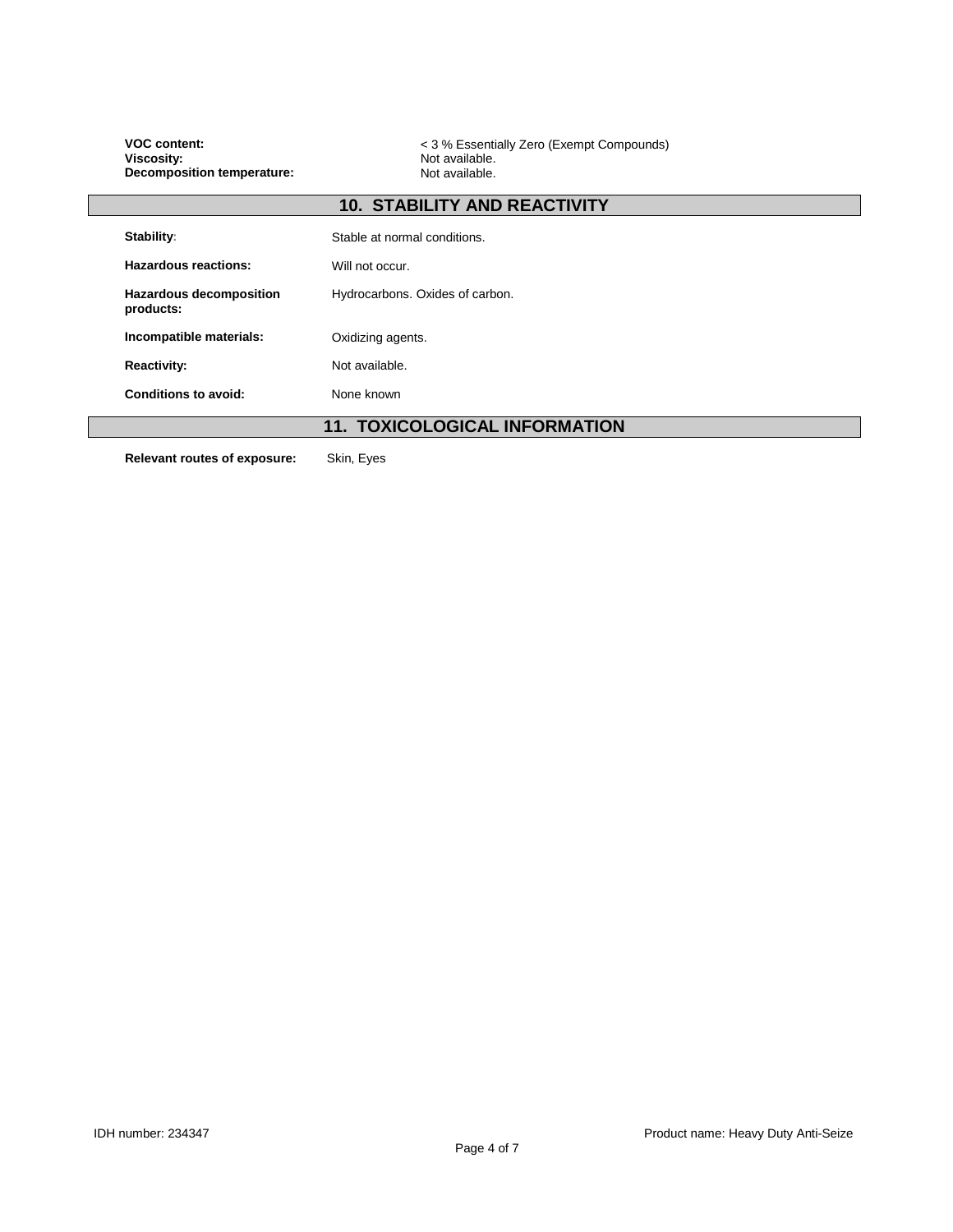| <b>VOC content:</b><br><b>Viscosity:</b><br><b>Decomposition temperature:</b> | < 3 % Essentially Zero (Exempt Compounds)<br>Not available.<br>Not available. |  |
|-------------------------------------------------------------------------------|-------------------------------------------------------------------------------|--|
|                                                                               | <b>10. STABILITY AND REACTIVITY</b>                                           |  |
| Stability:                                                                    | Stable at normal conditions.                                                  |  |
| <b>Hazardous reactions:</b>                                                   | Will not occur.                                                               |  |
| <b>Hazardous decomposition</b><br>products:                                   | Hydrocarbons. Oxides of carbon.                                               |  |
| Incompatible materials:                                                       | Oxidizing agents.                                                             |  |
| <b>Reactivity:</b>                                                            | Not available.                                                                |  |
| <b>Conditions to avoid:</b>                                                   | None known                                                                    |  |
|                                                                               | <b>11. TOXICOLOGICAL INFORMATION</b>                                          |  |
| Relevant routes of exposure:                                                  | Skin, Eyes                                                                    |  |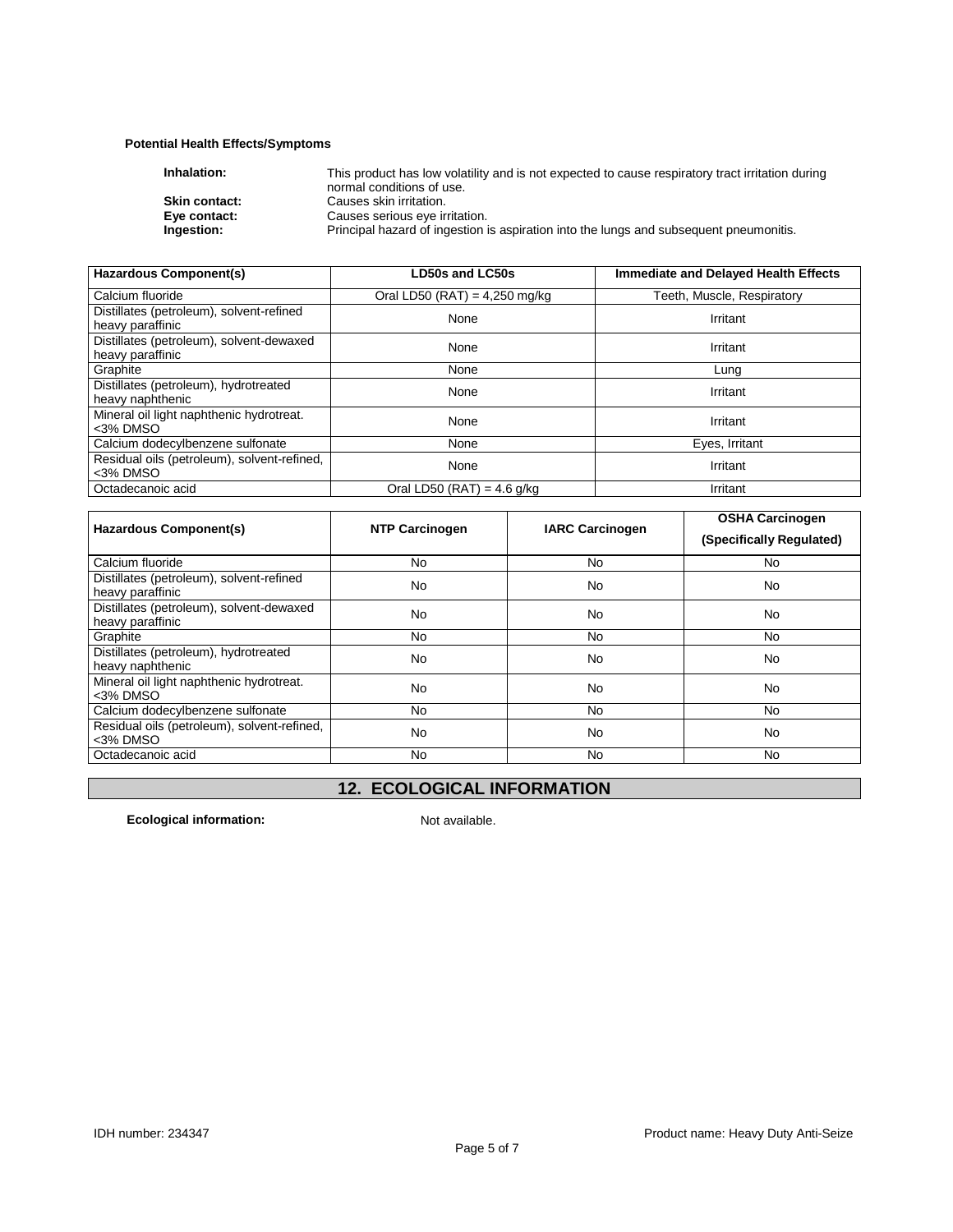## **Potential Health Effects/Symptoms**

| Inhalation:          | This product has low volatility and is not expected to cause respiratory tract irritation during |
|----------------------|--------------------------------------------------------------------------------------------------|
|                      | normal conditions of use.                                                                        |
| <b>Skin contact:</b> | Causes skin irritation.                                                                          |
| Eye contact:         | Causes serious eye irritation.                                                                   |
| Ingestion:           | Principal hazard of ingestion is aspiration into the lungs and subsequent pneumonitis.           |
|                      |                                                                                                  |

| <b>Hazardous Component(s)</b>                                | <b>LD50s and LC50s</b>          | <b>Immediate and Delayed Health Effects</b> |  |
|--------------------------------------------------------------|---------------------------------|---------------------------------------------|--|
| Calcium fluoride                                             | Oral LD50 (RAT) = $4,250$ mg/kg | Teeth, Muscle, Respiratory                  |  |
| Distillates (petroleum), solvent-refined<br>heavy paraffinic | None                            | Irritant                                    |  |
| Distillates (petroleum), solvent-dewaxed<br>heavy paraffinic | None                            | Irritant                                    |  |
| Graphite                                                     | None                            | Lung                                        |  |
| Distillates (petroleum), hydrotreated<br>heavy naphthenic    | None                            | Irritant                                    |  |
| Mineral oil light naphthenic hydrotreat.<br><3% DMSO         | None                            | Irritant                                    |  |
| Calcium dodecylbenzene sulfonate                             | None                            | Eyes, Irritant                              |  |
| Residual oils (petroleum), solvent-refined,<br><3% DMSO      | None                            | Irritant                                    |  |
| Octadecanoic acid                                            | Oral LD50 (RAT) = $4.6$ g/kg    | Irritant                                    |  |

| Hazardous Component(s)                                       | <b>NTP Carcinogen</b> | <b>IARC Carcinogen</b> | <b>OSHA Carcinogen</b>   |
|--------------------------------------------------------------|-----------------------|------------------------|--------------------------|
|                                                              |                       |                        | (Specifically Regulated) |
| Calcium fluoride                                             | N <sub>0</sub>        | No.                    | No.                      |
| Distillates (petroleum), solvent-refined<br>heavy paraffinic | No                    | No                     | <b>No</b>                |
| Distillates (petroleum), solvent-dewaxed<br>heavy paraffinic | No                    | No                     | <b>No</b>                |
| Graphite                                                     | No                    | No.                    | No.                      |
| Distillates (petroleum), hydrotreated<br>heavy naphthenic    | No                    | No                     | <b>No</b>                |
| Mineral oil light naphthenic hydrotreat.<br>$3%$ DMSO        | No                    | No                     | <b>No</b>                |
| Calcium dodecylbenzene sulfonate                             | No                    | No.                    | No.                      |
| Residual oils (petroleum), solvent-refined,<br><3% DMSO      | No                    | No                     | <b>No</b>                |
| Octadecanoic acid                                            | No.                   | No.                    | No.                      |

# **12. ECOLOGICAL INFORMATION**

**Ecological information:** Not available.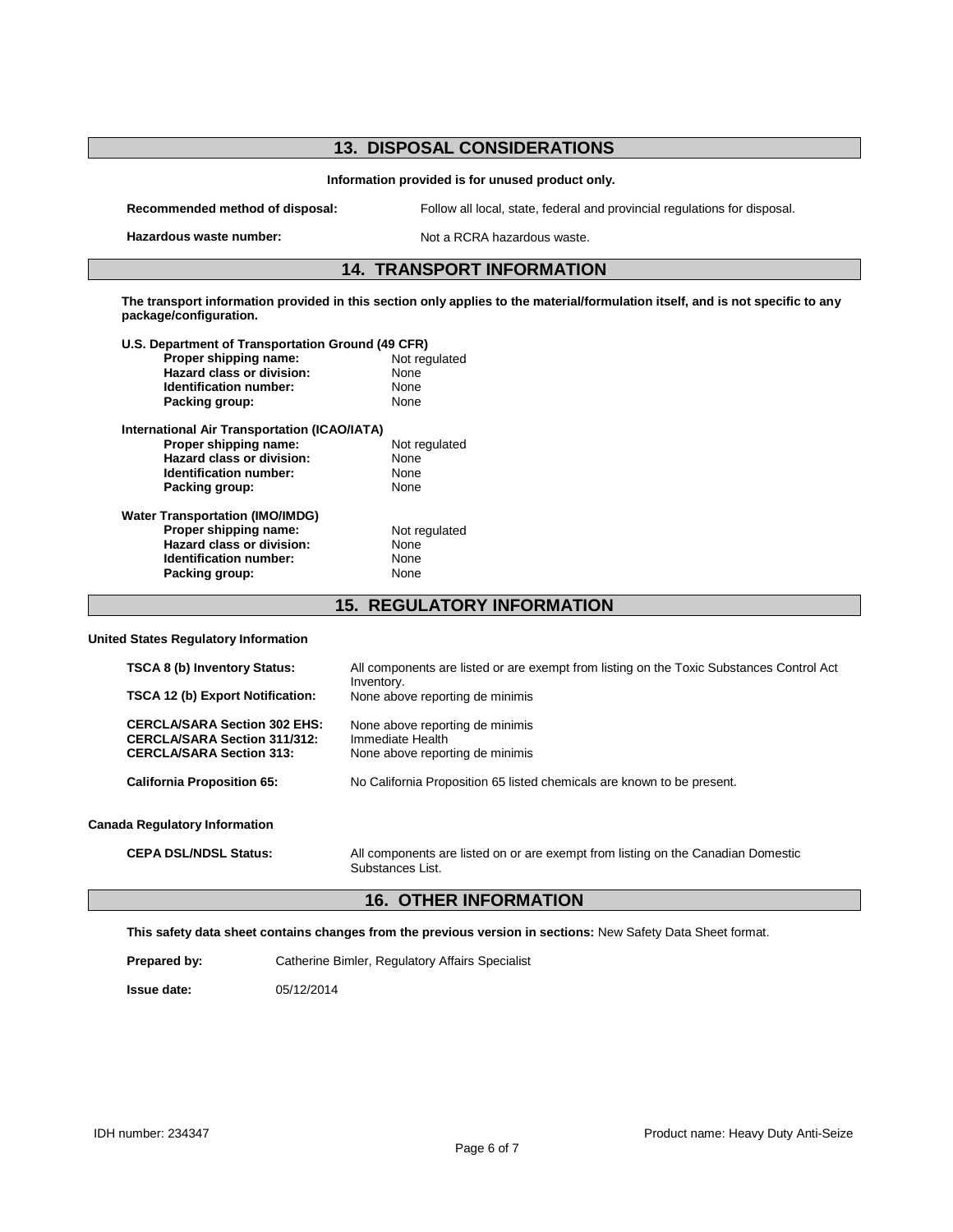| <b>13. DISPOSAL CONSIDERATIONS</b>                                                                                                                       |                                                                                                        |
|----------------------------------------------------------------------------------------------------------------------------------------------------------|--------------------------------------------------------------------------------------------------------|
| Information provided is for unused product only.                                                                                                         |                                                                                                        |
| Recommended method of disposal:                                                                                                                          | Follow all local, state, federal and provincial regulations for disposal.                              |
| Hazardous waste number:                                                                                                                                  | Not a RCRA hazardous waste.                                                                            |
| <b>14. TRANSPORT INFORMATION</b>                                                                                                                         |                                                                                                        |
| The transport information provided in this section only applies to the material/formulation itself, and is not specific to any<br>package/configuration. |                                                                                                        |
| U.S. Department of Transportation Ground (49 CFR)                                                                                                        |                                                                                                        |
| Proper shipping name:                                                                                                                                    | Not regulated                                                                                          |
| <b>Hazard class or division:</b>                                                                                                                         | None                                                                                                   |
| <b>Identification number:</b>                                                                                                                            | None                                                                                                   |
| Packing group:                                                                                                                                           | None                                                                                                   |
| <b>International Air Transportation (ICAO/IATA)</b>                                                                                                      |                                                                                                        |
| Proper shipping name:                                                                                                                                    | Not regulated                                                                                          |
| <b>Hazard class or division:</b>                                                                                                                         | None                                                                                                   |
| Identification number:                                                                                                                                   | None                                                                                                   |
| Packing group:                                                                                                                                           | None                                                                                                   |
| <b>Water Transportation (IMO/IMDG)</b>                                                                                                                   |                                                                                                        |
| Proper shipping name:                                                                                                                                    | Not regulated                                                                                          |
| <b>Hazard class or division:</b>                                                                                                                         | None                                                                                                   |
| <b>Identification number:</b>                                                                                                                            | None                                                                                                   |
| Packing group:                                                                                                                                           | None                                                                                                   |
|                                                                                                                                                          |                                                                                                        |
| <b>15. REGULATORY INFORMATION</b>                                                                                                                        |                                                                                                        |
| <b>United States Regulatory Information</b>                                                                                                              |                                                                                                        |
| TSCA 8 (b) Inventory Status:                                                                                                                             | All components are listed or are exempt from listing on the Toxic Substances Control Act<br>Inventory. |
| TSCA 12 (b) Export Notification:                                                                                                                         | None above reporting de minimis                                                                        |
| <b>CERCLA/SARA Section 302 EHS:</b>                                                                                                                      | None above reporting de minimis                                                                        |
| <b>CERCLA/SARA Section 311/312:</b>                                                                                                                      | Immediate Health                                                                                       |
| <b>CERCLA/SARA Section 313:</b>                                                                                                                          | None above reporting de minimis                                                                        |
| <b>California Proposition 65:</b>                                                                                                                        | No California Proposition 65 listed chemicals are known to be present.                                 |
| Canada Poqulatory Information                                                                                                                            |                                                                                                        |

#### **Canada Regulatory Information**

**CEPA DSL/NDSL Status:** All components are listed on or are exempt from listing on the Canadian Domestic Substances List.

## **16. OTHER INFORMATION**

**This safety data sheet contains changes from the previous version in sections:** New Safety Data Sheet format.

**Prepared by:** Catherine Bimler, Regulatory Affairs Specialist

**Issue date:** 05/12/2014